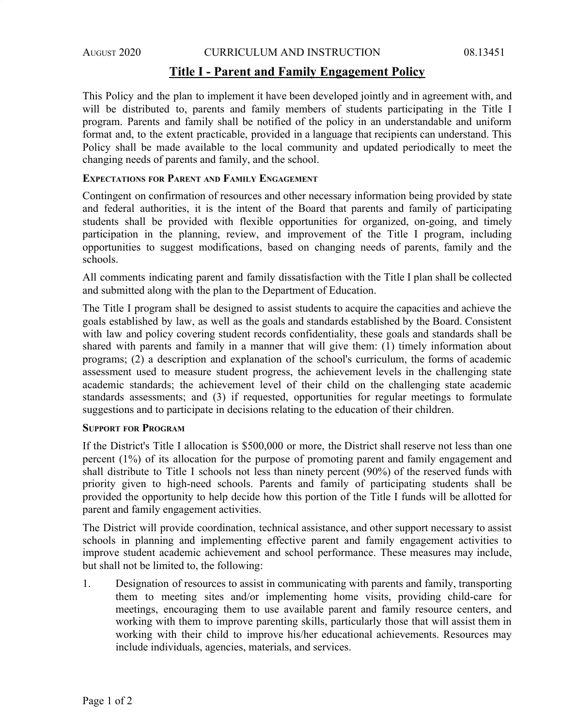## **Title I - Parent and Family Engagement Policy**

This Policy and the plan to implement it have been developed jointly and in agreement with, and will be distributed to, parents and family members of students participating in the Title I program. Parents and family shall be notified of the policy in an understandable and uniform format and, to the extent practicable, provided in a language that recipients can understand. This Policy shall be made available to the local community and updated periodically to meet the changing needs of parents and family, and the school.

## **EXPECTATIONS FOR PARENT AND FAMILY ENGAGEMENT**

Contingent on confirmation of resources and other necessary information being provided by state and federal authorities, it is the intent of the Board that parents and family of participating students shall be provided with flexible opportunities for organized, on-going, and timely participation in the planning, review, and improvement of the Title I program, including opportunities to suggest modifications, based on changing needs of parents, family and the schools.

All comments indicating parent and family dissatisfaction with the Title I plan shall be collected and submitted along with the plan to the Department of Education.

The Title I program shall be designed to assist students to acquire the capacities and achieve the goals established by law, as well as the goals and standards established by the Board. Consistent with law and policy covering student records confidentiality, these goals and standards shall be shared with parents and family in a manner that will give them: (1) timely information about programs; (2) a description and explanation of the school's curriculum, the forms of academic assessment used to measure student progress, the achievement levels in the challenging state academic standards; the achievement level of their child on the challenging state academic standards assessments; and (3) if requested, opportunities for regular meetings to formulate suggestions and to participate in decisions relating to the education of their children.

#### **SUPPORT FOR PROGRAM**

If the District's Title I allocation is \$500,000 or more, the District shall reserve not less than one percent (1%) of its allocation for the purpose of promoting parent and family engagement and shall distribute to Title I schools not less than ninety percent (90%) of the reserved funds with priority given to high-need schools. Parents and family of participating students shall be provided the opportunity to help decide how this portion of the Title I funds will be allotted for parent and family engagement activities.

The District will provide coordination, technical assistance, and other support necessary to assist schools in planning and implementing effective parent and family engagement activities to improve student academic achievement and school performance. These measures may include, but shall not be limited to, the following:

1. Designation of resources to assist in communicating with parents and family, transporting them to meeting sites and/or implementing home visits, providing child-care for meetings, encouraging them to use available parent and family resource centers, and working with them to improve parenting skills, particularly those that will assist them in working with their child to improve his/her educational achievements. Resources may include individuals, agencies, materials, and services.